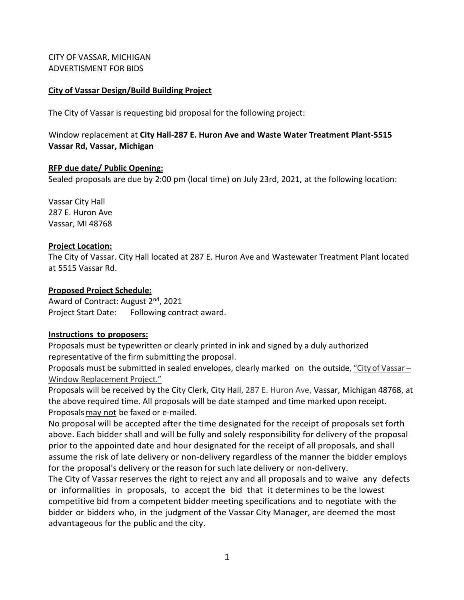CITY OF VASSAR, MICHIGAN ADVERTISMENT FOR BIDS

### **City of Vassar Design/Build Building Project**

The City of Vassar is requesting bid proposal for the following project:

Window replacement at **City Hall-287 E. Huron Ave and Waste Water Treatment Plant-5515 Vassar Rd, Vassar, Michigan**

### **RFP due date/ Public Opening:**

Sealed proposals are due by 2:00 pm (local time) on July 23rd, 2021, at the following location:

Vassar City Hall 287 E. Huron Ave Vassar, MI 48768

### **Project Location:**

The City of Vassar. City Hall located at 287 E. Huron Ave and Wastewater Treatment Plant located at 5515 Vassar Rd.

### **Proposed Project Schedule:**

Award of Contract: August 2<sup>nd</sup>, 2021 Project Start Date: Following contract award.

### **Instructions to proposers:**

Proposals must be typewritten or clearly printed in ink and signed by a duly authorized representative of the firm submitting the proposal.

Proposals must be submitted in sealed envelopes, clearly marked on the outside, "City of Vassar – Window Replacement Project."

Proposals will be received by the City Clerk, City Hall, 287 E. Huron Ave, Vassar, Michigan 48768, at the above required time. All proposals will be date stamped and time marked upon receipt. Proposals may not be faxed or e-mailed.

No proposal will be accepted after the time designated for the receipt of proposals set forth above. Each bidder shall and will be fully and solely responsibility for delivery of the proposal prior to the appointed date and hour designated for the receipt of all proposals, and shall assume the risk of late delivery or non-delivery regardless of the manner the bidder employs for the proposal's delivery or the reason forsuch late delivery or non-delivery.

The City of Vassar reserves the right to reject any and all proposals and to waive any defects or informalities in proposals, to accept the bid that it determines to be the lowest competitive bid from a competent bidder meeting specifications and to negotiate with the bidder or bidders who, in the judgment of the Vassar City Manager, are deemed the most advantageous for the public and the city.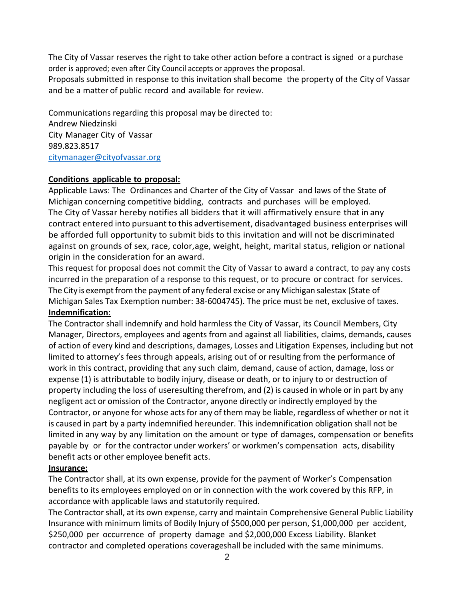The City of Vassar reserves the right to take other action before a contract is signed or a purchase order is approved; even after City Council accepts or approves the proposal.

Proposals submitted in response to this invitation shall become the property of the City of Vassar and be a matter of public record and available for review.

Communications regarding this proposal may be directed to: Andrew Niedzinski City Manager City of Vassar 989.823.8517 [citymanager@cityofvassar.org](mailto:kbauer@cityofhillsdale.org)

### **Conditions applicable to proposal:**

Applicable Laws: The Ordinances and Charter of the City of Vassar and laws of the State of Michigan concerning competitive bidding, contracts and purchases will be employed. The City of Vassar hereby notifies all bidders that it will affirmatively ensure that in any contract entered into pursuant to this advertisement, disadvantaged business enterprises will be afforded full opportunity to submit bids to this invitation and will not be discriminated against on grounds of sex, race, color,age, weight, height, marital status, religion or national origin in the consideration for an award.

This request for proposal does not commit the City of Vassar to award a contract, to pay any costs incurred in the preparation of a response to this request, or to procure or contract for services. The City is exempt from the payment of any federal excise or any Michigan salestax (State of Michigan Sales Tax Exemption number: 38-6004745). The price must be net, exclusive of taxes. **Indemnification**:

The Contractor shall indemnify and hold harmless the City of Vassar, its Council Members, City Manager, Directors, employees and agents from and against all liabilities, claims, demands, causes of action of every kind and descriptions, damages, Losses and Litigation Expenses, including but not limited to attorney's fees through appeals, arising out of or resulting from the performance of work in this contract, providing that any such claim, demand, cause of action, damage, loss or expense (1) is attributable to bodily injury, disease or death, or to injury to or destruction of property including the loss of useresulting therefrom, and (2) is caused in whole or in part by any negligent act or omission of the Contractor, anyone directly or indirectly employed by the Contractor, or anyone for whose acts for any of them may be liable, regardless of whether or not it is caused in part by a party indemnified hereunder. This indemnification obligation shall not be limited in any way by any limitation on the amount or type of damages, compensation or benefits payable by or for the contractor under workers' or workmen's compensation acts, disability benefit acts or other employee benefit acts.

### **Insurance:**

The Contractor shall, at its own expense, provide for the payment of Worker's Compensation benefits to its employees employed on or in connection with the work covered by this RFP, in accordance with applicable laws and statutorily required.

The Contractor shall, at its own expense, carry and maintain Comprehensive General Public Liability Insurance with minimum limits of Bodily Injury of \$500,000 per person, \$1,000,000 per accident, \$250,000 per occurrence of property damage and \$2,000,000 Excess Liability. Blanket contractor and completed operations coverageshall be included with the same minimums.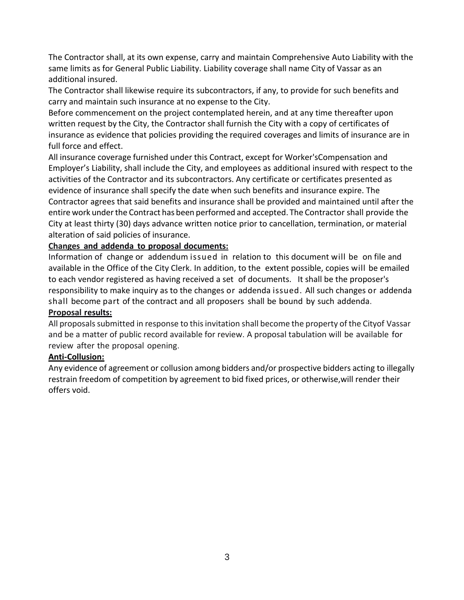The Contractor shall, at its own expense, carry and maintain Comprehensive Auto Liability with the same limits as for General Public Liability. Liability coverage shall name City of Vassar as an additional insured.

The Contractor shall likewise require its subcontractors, if any, to provide for such benefits and carry and maintain such insurance at no expense to the City.

Before commencement on the project contemplated herein, and at any time thereafter upon written request by the City, the Contractor shall furnish the City with a copy of certificates of insurance as evidence that policies providing the required coverages and limits of insurance are in full force and effect.

All insurance coverage furnished under this Contract, except for Worker'sCompensation and Employer's Liability, shall include the City, and employees as additional insured with respect to the activities of the Contractor and its subcontractors. Any certificate or certificates presented as evidence of insurance shall specify the date when such benefits and insurance expire. The Contractor agrees that said benefits and insurance shall be provided and maintained until after the entire work under the Contract has been performed and accepted. The Contractor shall provide the City at least thirty (30) days advance written notice prior to cancellation, termination, or material alteration of said policies of insurance.

## **Changes and addenda to proposal documents:**

Information of change or addendum issued in relation to this document will be on file and available in the Office of the City Clerk. In addition, to the extent possible, copies will be emailed to each vendor registered as having received a set of documents. It shall be the proposer's responsibility to make inquiry as to the changes or addenda issued. All such changes or addenda shall become part of the contract and all proposers shall be bound by such addenda.

## **Proposal results:**

All proposals submitted in response to this invitation shall become the property of the Cityof Vassar and be a matter of public record available for review. A proposal tabulation will be available for review after the proposal opening.

## **Anti-Collusion:**

Any evidence of agreement or collusion among bidders and/or prospective bidders acting to illegally restrain freedom of competition by agreement to bid fixed prices, or otherwise,will render their offers void.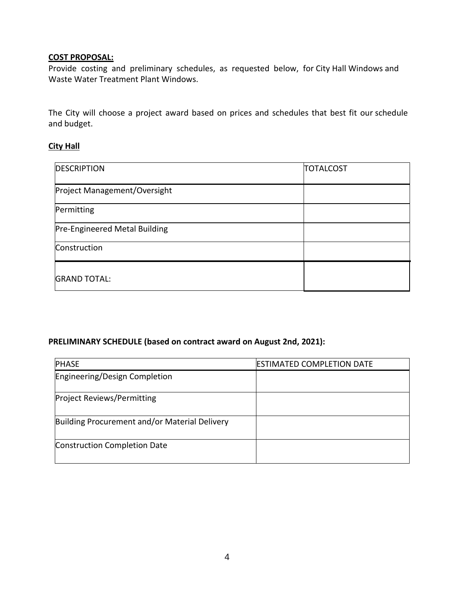# **COST PROPOSAL:**

Provide costing and preliminary schedules, as requested below, for City Hall Windows and Waste Water Treatment Plant Windows.

The City will choose a project award based on prices and schedules that best fit our schedule and budget.

### **City Hall**

| <b>DESCRIPTION</b>            | <b>TOTALCOST</b> |
|-------------------------------|------------------|
| Project Management/Oversight  |                  |
| Permitting                    |                  |
| Pre-Engineered Metal Building |                  |
| Construction                  |                  |
| <b>GRAND TOTAL:</b>           |                  |

## **PRELIMINARY SCHEDULE (based on contract award on August 2nd, 2021):**

| <b>PHASE</b>                                  | <b>ESTIMATED COMPLETION DATE</b> |
|-----------------------------------------------|----------------------------------|
| Engineering/Design Completion                 |                                  |
| <b>Project Reviews/Permitting</b>             |                                  |
| Building Procurement and/or Material Delivery |                                  |
| <b>Construction Completion Date</b>           |                                  |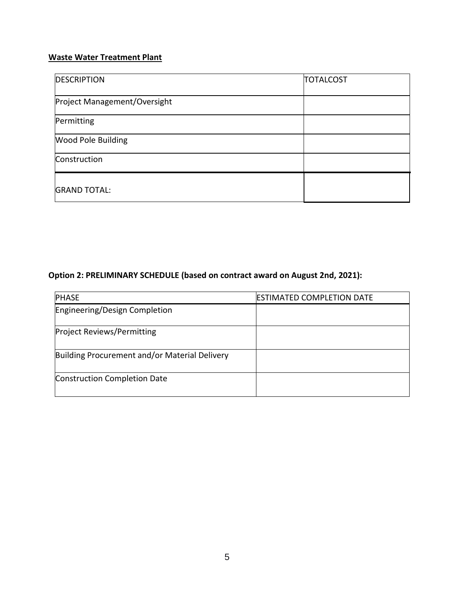## **Waste Water Treatment Plant**

| <b>DESCRIPTION</b>           | <b>TOTALCOST</b> |
|------------------------------|------------------|
| Project Management/Oversight |                  |
| Permitting                   |                  |
| <b>Wood Pole Building</b>    |                  |
| Construction                 |                  |
| <b>GRAND TOTAL:</b>          |                  |

# **Option 2: PRELIMINARY SCHEDULE (based on contract award on August 2nd, 2021):**

| <b>PHASE</b>                                  | <b>ESTIMATED COMPLETION DATE</b> |
|-----------------------------------------------|----------------------------------|
| Engineering/Design Completion                 |                                  |
|                                               |                                  |
| <b>Project Reviews/Permitting</b>             |                                  |
| Building Procurement and/or Material Delivery |                                  |
| <b>Construction Completion Date</b>           |                                  |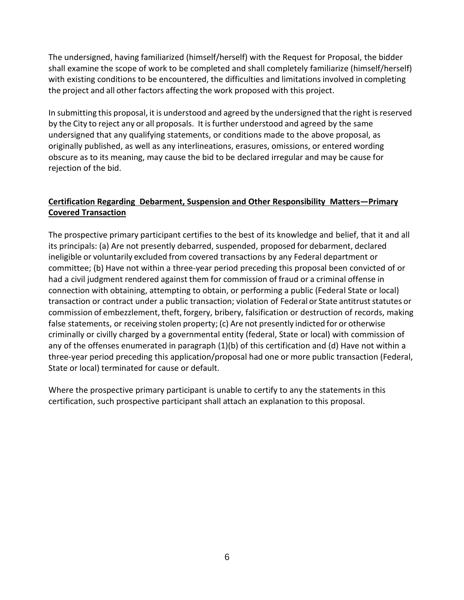The undersigned, having familiarized (himself/herself) with the Request for Proposal, the bidder shall examine the scope of work to be completed and shall completely familiarize (himself/herself) with existing conditions to be encountered, the difficulties and limitations involved in completing the project and all other factors affecting the work proposed with this project.

In submitting this proposal, it is understood and agreed by the undersigned that the right is reserved by the City to reject any or all proposals. It isfurther understood and agreed by the same undersigned that any qualifying statements, or conditions made to the above proposal, as originally published, as well as any interlineations, erasures, omissions, or entered wording obscure as to its meaning, may cause the bid to be declared irregular and may be cause for rejection of the bid.

## **Certification Regarding Debarment, Suspension and Other Responsibility Matters—Primary Covered Transaction**

The prospective primary participant certifies to the best of its knowledge and belief, that it and all its principals: (a) Are not presently debarred, suspended, proposed for debarment, declared ineligible or voluntarily excluded from covered transactions by any Federal department or committee; (b) Have not within a three-year period preceding this proposal been convicted of or had a civil judgment rendered against them for commission of fraud or a criminal offense in connection with obtaining, attempting to obtain, or performing a public (Federal State or local) transaction or contract under a public transaction; violation of Federal or State antitruststatutes or commission of embezzlement, theft, forgery, bribery, falsification or destruction of records, making false statements, or receiving stolen property; (c) Are not presently indicted for or otherwise criminally or civilly charged by a governmental entity (federal, State or local) with commission of any of the offenses enumerated in paragraph (1)(b) of this certification and (d) Have not within a three-year period preceding this application/proposal had one or more public transaction (Federal, State or local) terminated for cause or default.

Where the prospective primary participant is unable to certify to any the statements in this certification, such prospective participant shall attach an explanation to this proposal.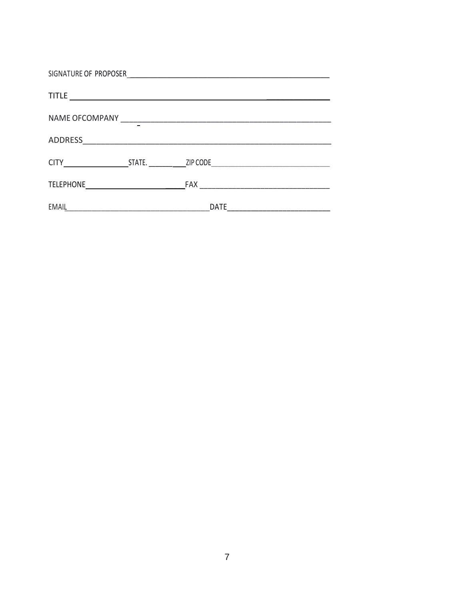| SIGNATURE OF PROPOSER<br><u> 1989 - Andrea Andrew Maria (h. 1989).</u> |                                                             |             |  |  |
|------------------------------------------------------------------------|-------------------------------------------------------------|-------------|--|--|
|                                                                        |                                                             |             |  |  |
|                                                                        |                                                             |             |  |  |
| <b>ADDRESS</b>                                                         | <u> 1989 - Johann Stein, mars an de Brazilian (b. 1989)</u> |             |  |  |
|                                                                        |                                                             |             |  |  |
|                                                                        |                                                             | FAX         |  |  |
| EMAIL                                                                  |                                                             | <b>DATE</b> |  |  |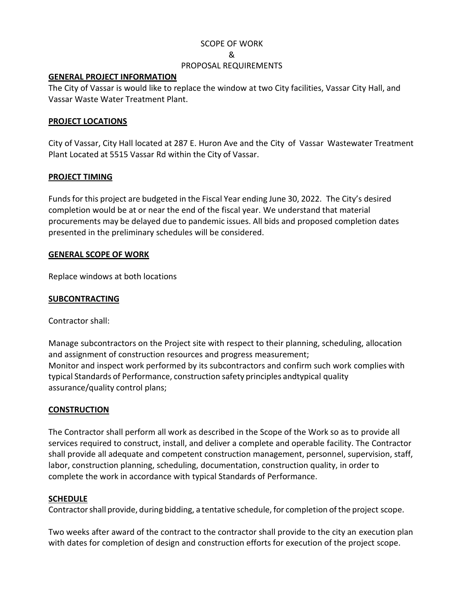### SCOPE OF WORK

#### &

### PROPOSAL REQUIREMENTS

### **GENERAL PROJECT INFORMATION**

The City of Vassar is would like to replace the window at two City facilities, Vassar City Hall, and Vassar Waste Water Treatment Plant.

### **PROJECT LOCATIONS**

City of Vassar, City Hall located at 287 E. Huron Ave and the City of Vassar Wastewater Treatment Plant Located at 5515 Vassar Rd within the City of Vassar.

### **PROJECT TIMING**

Fundsfor this project are budgeted in the Fiscal Year ending June 30, 2022. The City's desired completion would be at or near the end of the fiscal year. We understand that material procurements may be delayed due to pandemic issues. All bids and proposed completion dates presented in the preliminary schedules will be considered.

### **GENERAL SCOPE OF WORK**

Replace windows at both locations

### **SUBCONTRACTING**

Contractor shall:

Manage subcontractors on the Project site with respect to their planning, scheduling, allocation and assignment of construction resources and progress measurement; Monitor and inspect work performed by its subcontractors and confirm such work complies with typical Standards of Performance, construction safety principles andtypical quality assurance/quality control plans;

### **CONSTRUCTION**

The Contractor shall perform all work as described in the Scope of the Work so as to provide all services required to construct, install, and deliver a complete and operable facility. The Contractor shall provide all adequate and competent construction management, personnel, supervision, staff, labor, construction planning, scheduling, documentation, construction quality, in order to complete the work in accordance with typical Standards of Performance.

### **SCHEDULE**

Contractorshall provide, during bidding, a tentative schedule, for completion ofthe project scope.

Two weeks after award of the contract to the contractor shall provide to the city an execution plan with dates for completion of design and construction efforts for execution of the project scope.